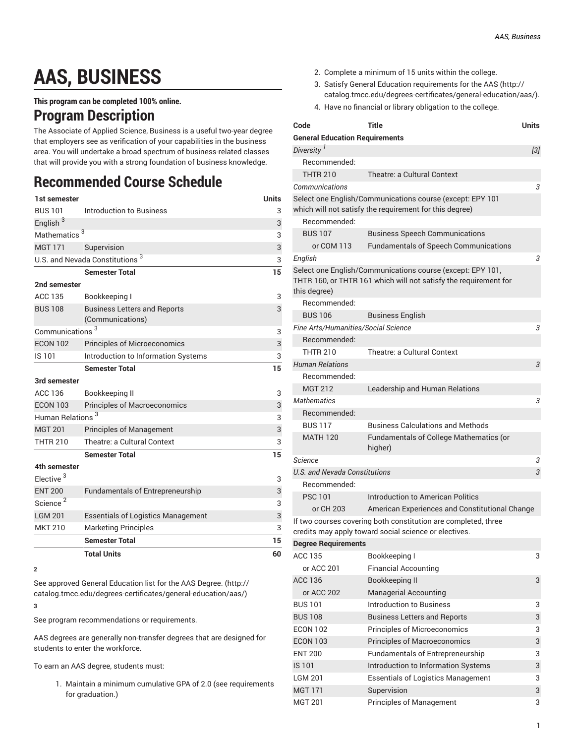## **AAS, BUSINESS**

**This program can be completed 100% online.**

## **Program Description**

The Associate of Applied Science, Business is a useful two-year degree that employers see as verification of your capabilities in the business area. You will undertake a broad spectrum of business-related classes that will provide you with a strong foundation of business knowledge.

## **Recommended Course Schedule**

| 1st semester                               |                                                         | <b>Units</b> |  |
|--------------------------------------------|---------------------------------------------------------|--------------|--|
| <b>BUS 101</b>                             | Introduction to Business                                | 3            |  |
| English <sup>3</sup>                       |                                                         | 3            |  |
| Mathematics <sup>3</sup>                   | 3                                                       |              |  |
| <b>MGT 171</b>                             | Supervision                                             | 3            |  |
| U.S. and Nevada Constitutions <sup>3</sup> |                                                         |              |  |
|                                            | <b>Semester Total</b>                                   | 15           |  |
| 2nd semester                               |                                                         |              |  |
| <b>ACC 135</b>                             | Bookkeeping I                                           | 3            |  |
| <b>BUS 108</b>                             | <b>Business Letters and Reports</b><br>(Communications) | 3            |  |
| Communications <sup>3</sup>                | 3                                                       |              |  |
| <b>ECON 102</b>                            | Principles of Microeconomics                            | 3            |  |
| IS 101                                     | Introduction to Information Systems                     | 3            |  |
|                                            | <b>Semester Total</b>                                   | 15           |  |
| 3rd semester                               |                                                         |              |  |
| ACC 136                                    | Bookkeeping II                                          | 3            |  |
| <b>ECON 103</b>                            | <b>Principles of Macroeconomics</b>                     | 3            |  |
| Human Relations <sup>3</sup>               |                                                         | 3            |  |
| <b>MGT 201</b>                             | <b>Principles of Management</b>                         | 3            |  |
| <b>THTR 210</b>                            | Theatre: a Cultural Context                             | 3            |  |
|                                            | <b>Semester Total</b>                                   | 15           |  |
| 4th semester                               |                                                         |              |  |
| Elective <sup>3</sup>                      |                                                         | 3            |  |
| <b>ENT 200</b>                             | <b>Fundamentals of Entrepreneurship</b>                 | 3            |  |
| Science <sup>2</sup>                       |                                                         | 3            |  |
| <b>LGM 201</b>                             | <b>Essentials of Logistics Management</b>               | 3            |  |
| <b>MKT 210</b>                             | <b>Marketing Principles</b>                             | 3            |  |
|                                            | <b>Semester Total</b>                                   | 15           |  |
|                                            | <b>Total Units</b>                                      | 60           |  |

**<sup>2</sup>**

See approved General [Education](http://catalog.tmcc.edu/degrees-certificates/general-education/aas/) list for the AAS Degree. [\(http://](http://catalog.tmcc.edu/degrees-certificates/general-education/aas/) [catalog.tmcc.edu/degrees-certificates/general-education/aas/\)](http://catalog.tmcc.edu/degrees-certificates/general-education/aas/) **3**

See program recommendations or requirements.

AAS degrees are generally non-transfer degrees that are designed for students to enter the workforce.

To earn an AAS degree, students must:

1. Maintain a minimum cumulative GPA of 2.0 (see requirements for graduation.)

- 2. Complete a minimum of 15 units within the college.
- 3. Satisfy General Education [requirements](http://catalog.tmcc.edu/degrees-certificates/general-education/aas/) for the AAS [\(http://](http://catalog.tmcc.edu/degrees-certificates/general-education/aas/) [catalog.tmcc.edu/degrees-certificates/general-education/aas/](http://catalog.tmcc.edu/degrees-certificates/general-education/aas/)).
- 4. Have no financial or library obligation to the college.

| Code                                  | Title<br>Units                                                                                                                 |       |
|---------------------------------------|--------------------------------------------------------------------------------------------------------------------------------|-------|
| <b>General Education Requirements</b> |                                                                                                                                |       |
| Diversity <sup>1</sup>                |                                                                                                                                | $[3]$ |
| Recommended:                          |                                                                                                                                |       |
| <b>THTR 210</b>                       | Theatre: a Cultural Context                                                                                                    |       |
| Communications                        |                                                                                                                                | 3     |
|                                       | Select one English/Communications course (except: EPY 101<br>which will not satisfy the requirement for this degree)           |       |
| Recommended:                          |                                                                                                                                |       |
| <b>BUS 107</b>                        | <b>Business Speech Communications</b>                                                                                          |       |
| or COM 113                            | <b>Fundamentals of Speech Communications</b>                                                                                   |       |
| English                               |                                                                                                                                | 3     |
| this degree)                          | Select one English/Communications course (except: EPY 101,<br>THTR 160, or THTR 161 which will not satisfy the requirement for |       |
| Recommended:                          |                                                                                                                                |       |
| <b>BUS 106</b>                        | <b>Business English</b>                                                                                                        |       |
| Fine Arts/Humanities/Social Science   |                                                                                                                                | 3     |
| Recommended:                          |                                                                                                                                |       |
| <b>THTR 210</b>                       | Theatre: a Cultural Context                                                                                                    |       |
| <b>Human Relations</b>                |                                                                                                                                | З     |
| Recommended:                          |                                                                                                                                |       |
| <b>MGT 212</b>                        | Leadership and Human Relations                                                                                                 |       |
| <b>Mathematics</b>                    |                                                                                                                                | 3     |
| Recommended:                          |                                                                                                                                |       |
| <b>BUS 117</b>                        | <b>Business Calculations and Methods</b>                                                                                       |       |
| <b>MATH 120</b>                       | Fundamentals of College Mathematics (or<br>higher)                                                                             |       |
| Science                               |                                                                                                                                | 3     |
| U.S. and Nevada Constitutions         |                                                                                                                                | 3     |
| Recommended:                          |                                                                                                                                |       |
| <b>PSC 101</b>                        | Introduction to American Politics                                                                                              |       |
| or CH 203                             | American Experiences and Constitutional Change                                                                                 |       |
|                                       | If two courses covering both constitution are completed, three<br>credits may apply toward social science or electives.        |       |
| <b>Degree Requirements</b>            |                                                                                                                                |       |
| ACC 135                               | Bookkeeping I                                                                                                                  | 3     |
| or ACC 201                            | <b>Financial Accounting</b>                                                                                                    |       |
| <b>ACC 136</b>                        | <b>Bookkeeping II</b>                                                                                                          | 3     |
| or ACC 202                            | <b>Managerial Accounting</b>                                                                                                   |       |
| <b>BUS 101</b>                        | <b>Introduction to Business</b>                                                                                                | 3     |
| <b>BUS 108</b>                        | <b>Business Letters and Reports</b>                                                                                            | 3     |
| <b>ECON 102</b>                       | Principles of Microeconomics                                                                                                   | 3     |
| <b>ECON 103</b>                       | <b>Principles of Macroeconomics</b>                                                                                            | 3     |
| <b>ENT 200</b>                        | Fundamentals of Entrepreneurship                                                                                               | 3     |
| <b>IS101</b>                          | Introduction to Information Systems                                                                                            | 3     |
| <b>LGM 201</b>                        | <b>Essentials of Logistics Management</b>                                                                                      | 3     |
| <b>MGT 171</b>                        | Supervision                                                                                                                    | 3     |
| <b>MGT 201</b>                        | <b>Principles of Management</b>                                                                                                | 3     |